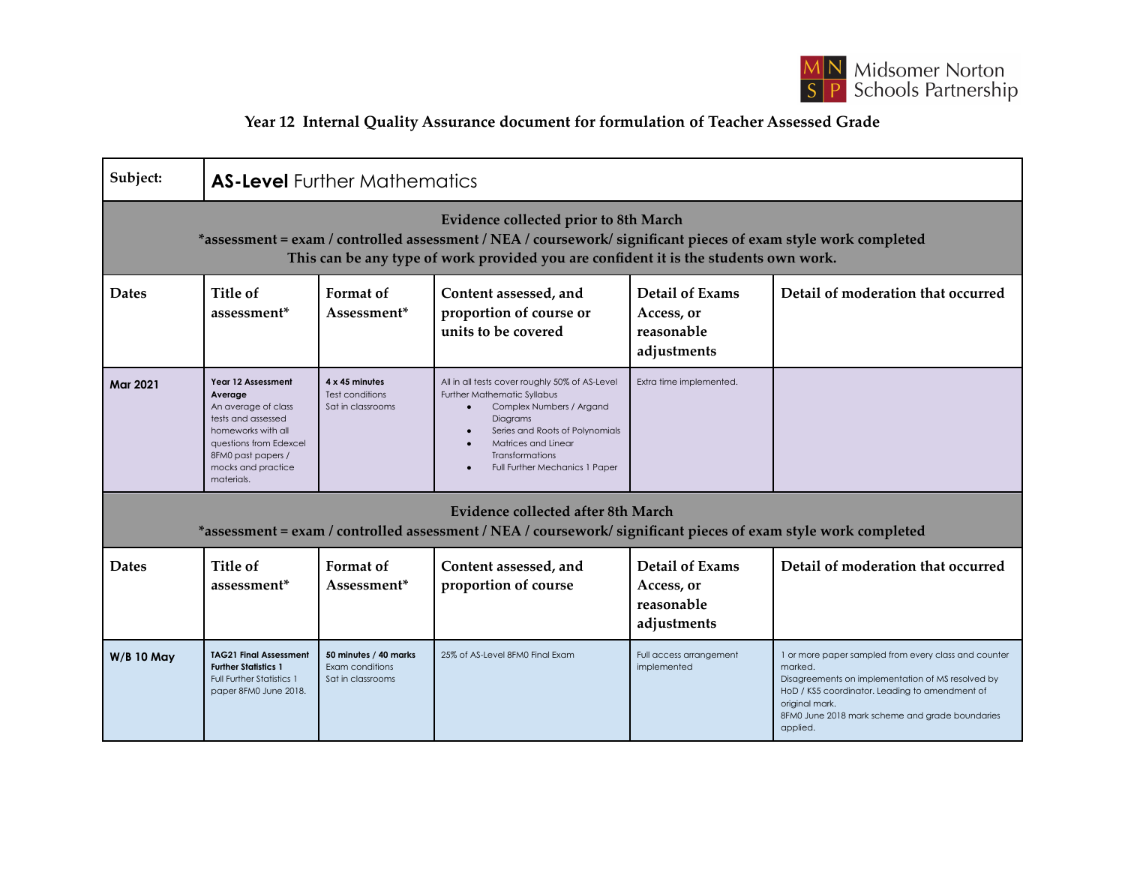

## **Year 12 Internal Quality Assurance document for formulation of Teacher Assessed Grade**

| Subject:                                                                                                                                                                                                                                               | <b>AS-Level</b> Further Mathematics                                                                                                                                                  |                                                               |                                                                                                                                                                                                                                                    |                                                                   |                                                                                                                                                                                                                                                         |  |  |  |  |
|--------------------------------------------------------------------------------------------------------------------------------------------------------------------------------------------------------------------------------------------------------|--------------------------------------------------------------------------------------------------------------------------------------------------------------------------------------|---------------------------------------------------------------|----------------------------------------------------------------------------------------------------------------------------------------------------------------------------------------------------------------------------------------------------|-------------------------------------------------------------------|---------------------------------------------------------------------------------------------------------------------------------------------------------------------------------------------------------------------------------------------------------|--|--|--|--|
| <b>Evidence collected prior to 8th March</b><br>*assessment = exam / controlled assessment / NEA / coursework/ significant pieces of exam style work completed<br>This can be any type of work provided you are confident it is the students own work. |                                                                                                                                                                                      |                                                               |                                                                                                                                                                                                                                                    |                                                                   |                                                                                                                                                                                                                                                         |  |  |  |  |
| <b>Dates</b>                                                                                                                                                                                                                                           | Title of<br>assessment <sup>*</sup>                                                                                                                                                  | Format of<br>Assessment*                                      | Content assessed, and<br>proportion of course or<br>units to be covered                                                                                                                                                                            | <b>Detail of Exams</b><br>Access, or<br>reasonable<br>adjustments | Detail of moderation that occurred                                                                                                                                                                                                                      |  |  |  |  |
| <b>Mar 2021</b>                                                                                                                                                                                                                                        | Year 12 Assessment<br>Average<br>An average of class<br>tests and assessed<br>homeworks with all<br>questions from Edexcel<br>8FM0 past papers /<br>mocks and practice<br>materials. | 4 x 45 minutes<br>Test conditions<br>Sat in classrooms        | All in all tests cover roughly 50% of AS-Level<br><b>Further Mathematic Syllabus</b><br>Complex Numbers / Argand<br>Diagrams<br>Series and Roots of Polynomials<br>Matrices and Linear<br><b>Transformations</b><br>Full Further Mechanics 1 Paper | Extra time implemented.                                           |                                                                                                                                                                                                                                                         |  |  |  |  |
| <b>Evidence collected after 8th March</b><br>*assessment = exam / controlled assessment / NEA / coursework/ significant pieces of exam style work completed                                                                                            |                                                                                                                                                                                      |                                                               |                                                                                                                                                                                                                                                    |                                                                   |                                                                                                                                                                                                                                                         |  |  |  |  |
| <b>Dates</b>                                                                                                                                                                                                                                           | Title of<br>assessment <sup>*</sup>                                                                                                                                                  | Format of<br>Assessment*                                      | Content assessed, and<br>proportion of course                                                                                                                                                                                                      | <b>Detail of Exams</b><br>Access, or<br>reasonable<br>adjustments | Detail of moderation that occurred                                                                                                                                                                                                                      |  |  |  |  |
| <b>W/B 10 May</b>                                                                                                                                                                                                                                      | <b>TAG21 Final Assessment</b><br><b>Further Statistics 1</b><br><b>Full Further Statistics 1</b><br>paper 8FM0 June 2018.                                                            | 50 minutes / 40 marks<br>Exam conditions<br>Sat in classrooms | 25% of AS-Level 8FM0 Final Exam                                                                                                                                                                                                                    | Full access arrangement<br>implemented                            | 1 or more paper sampled from every class and counter<br>marked.<br>Disagreements on implementation of MS resolved by<br>HoD / KS5 coordinator. Leading to amendment of<br>original mark.<br>8FM0 June 2018 mark scheme and grade boundaries<br>applied. |  |  |  |  |